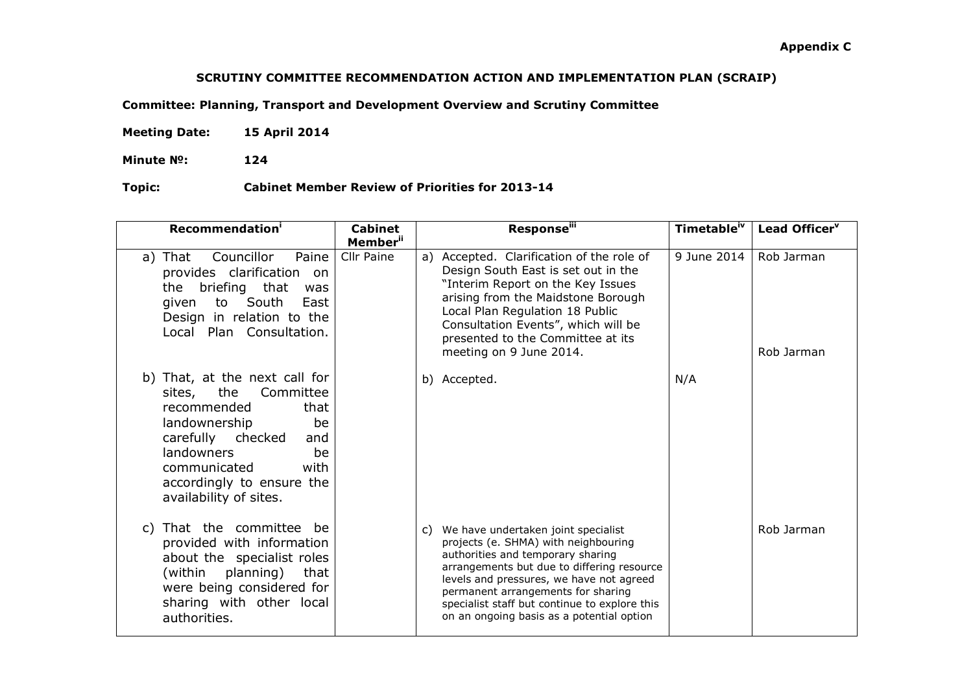## **SCRUTINY COMMITTEE RECOMMENDATION ACTION AND IMPLEMENTATION PLAN (SCRAIP)**

**Committee: Planning, Transport and Development Overview and Scrutiny Committee** 

**Meeting Date: 15 April 2014**

**Minute №: 124** 

 **Topic: Cabinet Member Review of Priorities for 2013-14** 

| Recommendation <sup>i</sup>                                                                                                                                                                                                                  | <b>Cabinet</b><br><b>Member</b> <sup>ii</sup> | <b>Response</b> iii                                                                                                                                                                                                                                                                                                                                  | Timetable <sup>iv</sup> | Lead Officer <sup>v</sup> |
|----------------------------------------------------------------------------------------------------------------------------------------------------------------------------------------------------------------------------------------------|-----------------------------------------------|------------------------------------------------------------------------------------------------------------------------------------------------------------------------------------------------------------------------------------------------------------------------------------------------------------------------------------------------------|-------------------------|---------------------------|
| Councillor<br>Paine<br>a) That<br>provides clarification on<br>the<br>briefing that<br>was<br>to South<br>East<br>given<br>Design in relation to the<br>Plan Consultation.<br>Local                                                          | Cllr Paine                                    | Accepted. Clarification of the role of<br>a)<br>Design South East is set out in the<br>"Interim Report on the Key Issues<br>arising from the Maidstone Borough<br>Local Plan Regulation 18 Public<br>Consultation Events", which will be<br>presented to the Committee at its<br>meeting on 9 June 2014.                                             | 9 June 2014             | Rob Jarman<br>Rob Jarman  |
| b) That, at the next call for<br>sites, the<br>Committee<br>recommended<br>that<br>landownership<br>be<br>carefully checked<br>and<br><b>landowners</b><br>be<br>communicated<br>with<br>accordingly to ensure the<br>availability of sites. |                                               | b) Accepted.                                                                                                                                                                                                                                                                                                                                         | N/A                     |                           |
| c) That the committee be<br>provided with information<br>about the specialist roles<br>(within planning)<br>that<br>were being considered for<br>sharing with other local<br>authorities.                                                    |                                               | We have undertaken joint specialist<br>C)<br>projects (e. SHMA) with neighbouring<br>authorities and temporary sharing<br>arrangements but due to differing resource<br>levels and pressures, we have not agreed<br>permanent arrangements for sharing<br>specialist staff but continue to explore this<br>on an ongoing basis as a potential option |                         | Rob Jarman                |